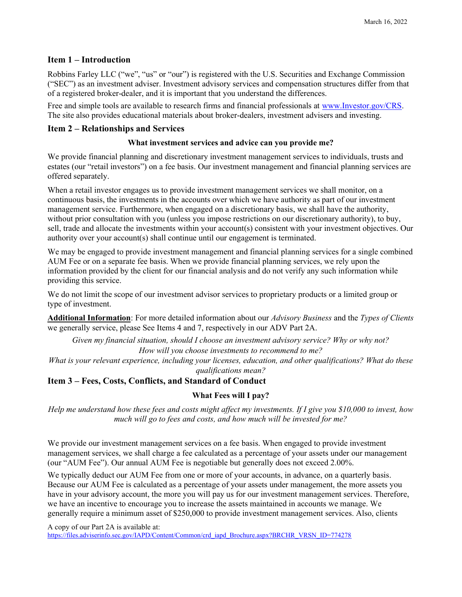### Item 1 – Introduction

Robbins Farley LLC ("we", "us" or "our") is registered with the U.S. Securities and Exchange Commission ("SEC") as an investment adviser. Investment advisory services and compensation structures differ from that of a registered broker-dealer, and it is important that you understand the differences.

Free and simple tools are available to research firms and financial professionals at www.Investor.gov/CRS. The site also provides educational materials about broker-dealers, investment advisers and investing.

### Item 2 – Relationships and Services

#### What investment services and advice can you provide me?

We provide financial planning and discretionary investment management services to individuals, trusts and estates (our "retail investors") on a fee basis. Our investment management and financial planning services are offered separately.

When a retail investor engages us to provide investment management services we shall monitor, on a continuous basis, the investments in the accounts over which we have authority as part of our investment management service. Furthermore, when engaged on a discretionary basis, we shall have the authority, without prior consultation with you (unless you impose restrictions on our discretionary authority), to buy, sell, trade and allocate the investments within your account(s) consistent with your investment objectives. Our authority over your account(s) shall continue until our engagement is terminated.

We may be engaged to provide investment management and financial planning services for a single combined AUM Fee or on a separate fee basis. When we provide financial planning services, we rely upon the information provided by the client for our financial analysis and do not verify any such information while providing this service.

We do not limit the scope of our investment advisor services to proprietary products or a limited group or type of investment.

Additional Information: For more detailed information about our Advisory Business and the Types of Clients we generally service, please See Items 4 and 7, respectively in our ADV Part 2A.

Given my financial situation, should I choose an investment advisory service? Why or why not? How will you choose investments to recommend to me?

What is your relevant experience, including your licenses, education, and other qualifications? What do these qualifications mean?

# Item 3 – Fees, Costs, Conflicts, and Standard of Conduct

#### What Fees will I pay?

Help me understand how these fees and costs might affect my investments. If I give you \$10,000 to invest, how much will go to fees and costs, and how much will be invested for me?

We provide our investment management services on a fee basis. When engaged to provide investment management services, we shall charge a fee calculated as a percentage of your assets under our management (our "AUM Fee"). Our annual AUM Fee is negotiable but generally does not exceed 2.00%.

We typically deduct our AUM Fee from one or more of your accounts, in advance, on a quarterly basis. Because our AUM Fee is calculated as a percentage of your assets under management, the more assets you have in your advisory account, the more you will pay us for our investment management services. Therefore, we have an incentive to encourage you to increase the assets maintained in accounts we manage. We generally require a minimum asset of \$250,000 to provide investment management services. Also, clients

A copy of our Part 2A is available at:

https://files.adviserinfo.sec.gov/IAPD/Content/Common/crd\_iapd\_Brochure.aspx?BRCHR\_VRSN\_ID=774278